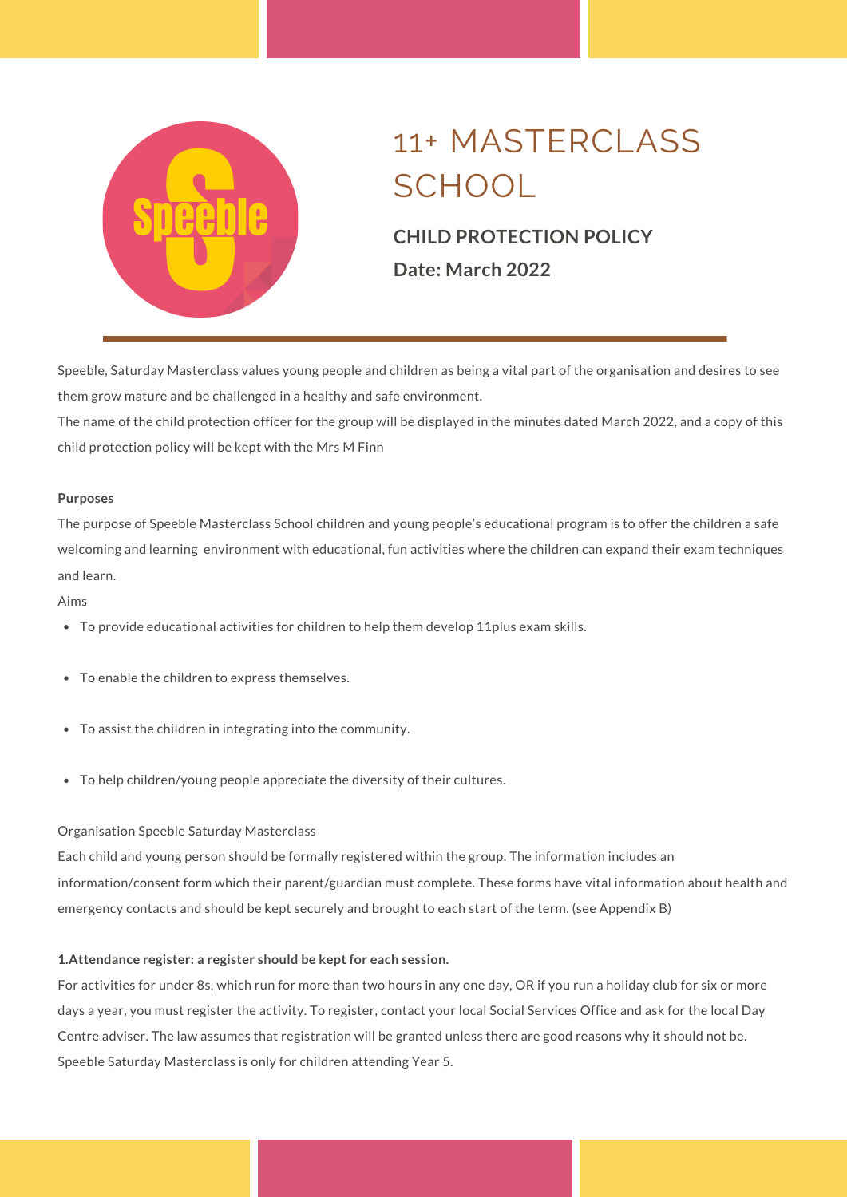

### **CHILD PROTECTION POLICY Date: March 2022**

Speeble, Saturday Masterclass values young people and children as being a vital part of the organisation and desires to see them grow mature and be challenged in a healthy and safe environment.

The name of the child protection officer for the group will be displayed in the minutes dated March 2022, and a copy of this child protection policy will be kept with the Mrs M Finn

#### **Purposes**

The purpose of Speeble Masterclass School children and young people's educational program is to offer the children a safe welcoming and learning environment with educational, fun activities where the children can expand their exam techniques and learn.

Aims

- To provide educational activities for children to help them develop 11plus exam skills.
- To enable the children to express themselves.
- To assist the children in integrating into the community.
- To help children/young people appreciate the diversity of their cultures.

#### Organisation Speeble Saturday Masterclass

Each child and young person should be formally registered within the group. The information includes an information/consent form which their parent/guardian must complete. These forms have vital information about health and emergency contacts and should be kept securely and brought to each start of the term. (see Appendix B)

#### **1.Attendance register: a register should be kept for each session.**

For activities for under 8s, which run for more than two hours in any one day, OR if you run a holiday club for six or more days a year, you must register the activity. To register, contact your local Social Services Office and ask for the local Day Centre adviser. The law assumes that registration will be granted unless there are good reasons why it should not be. Speeble Saturday Masterclass is only for children attending Year 5.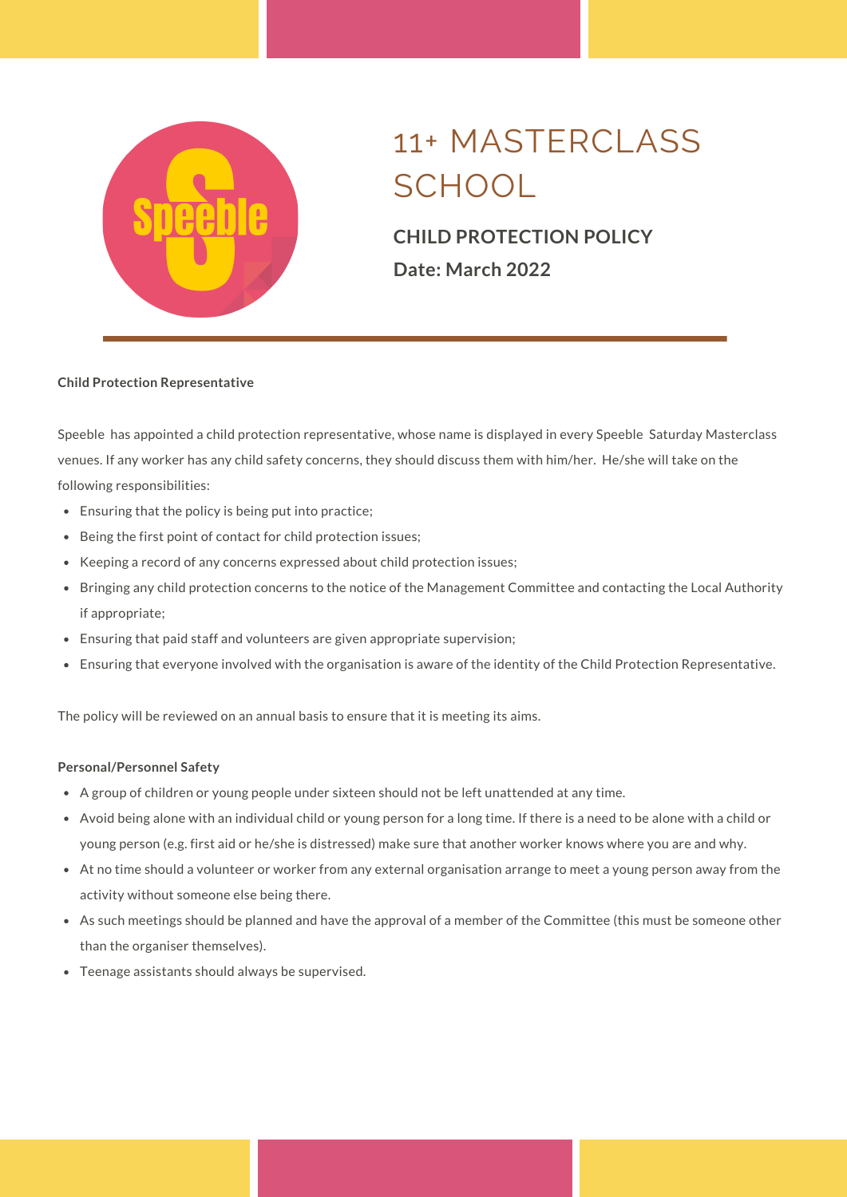

### **CHILD PROTECTION POLICY Date: March 2022**

#### **Child Protection Representative**

Speeble has appointed a child protection representative, whose name is displayed in every Speeble Saturday Masterclass venues. If any worker has any child safety concerns, they should discuss them with him/her. He/she will take on the following responsibilities:

- Ensuring that the policy is being put into practice;
- Being the first point of contact for child protection issues;  $\bullet$
- Keeping a record of any concerns expressed about child protection issues;
- Bringing any child protection concerns to the notice of the Management Committee and contacting the Local Authority if appropriate;
- Ensuring that paid staff and volunteers are given appropriate supervision;
- $\bullet$ Ensuring that everyone involved with the organisation is aware of the identity of the Child Protection Representative.

The policy will be reviewed on an annual basis to ensure that it is meeting its aims.

#### **Personal/Personnel Safety**

- A group of children or young people under sixteen should not be left unattended at any time.
- Avoid being alone with an individual child or young person for a long time. If there is a need to be alone with a child or young person (e.g. first aid or he/she is distressed) make sure that another worker knows where you are and why.
- At no time should a volunteer or worker from any external organisation arrange to meet a young person away from the activity without someone else being there.
- As such meetings should be planned and have the approval of a member of the Committee (this must be someone other than the organiser themselves).
- Teenage assistants should always be supervised.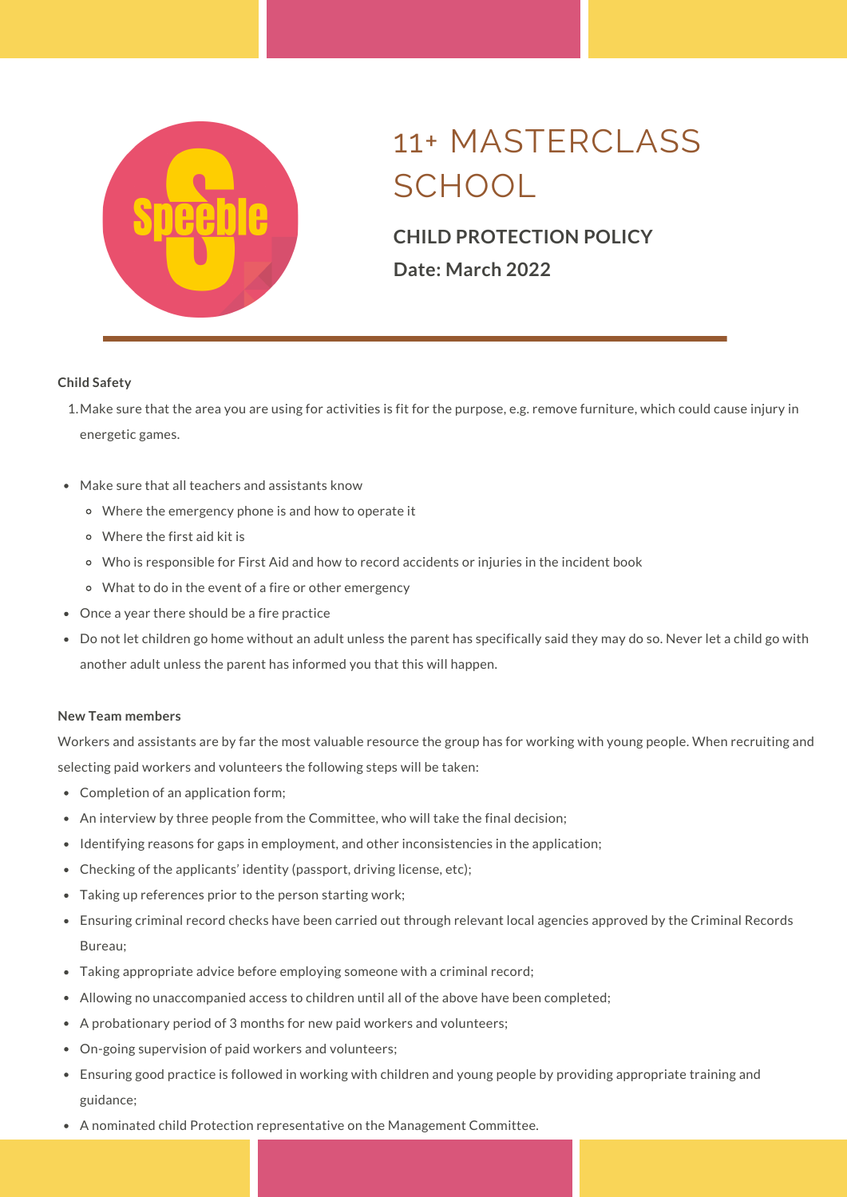

### **CHILD PROTECTION POLICY Date: March 2022**

#### **Child Safety**

- Make sure that the area you are using for activities is fit for the purpose, e.g. remove furniture, which could cause injury in 1. energetic games.
- Make sure that all teachers and assistants know
	- Where the emergency phone is and how to operate it
	- Where the first aid kit is
	- Who is responsible for First Aid and how to record accidents or injuries in the incident book
	- What to do in the event of a fire or other emergency
- Once a year there should be a fire practice
- Do not let children go home without an adult unless the parent has specifically said they may do so. Never let a child go with another adult unless the parent has informed you that this will happen.

#### **New Team members**

Workers and assistants are by far the most valuable resource the group has for working with young people. When recruiting and selecting paid workers and volunteers the following steps will be taken:

- Completion of an application form;
- An interview by three people from the Committee, who will take the final decision;
- Identifying reasons for gaps in employment, and other inconsistencies in the application;
- Checking of the applicants' identity (passport, driving license, etc);
- Taking up references prior to the person starting work;
- Ensuring criminal record checks have been carried out through relevant local agencies approved by the Criminal Records Bureau;
- Taking appropriate advice before employing someone with a criminal record;
- Allowing no unaccompanied access to children until all of the above have been completed;
- A probationary period of 3 months for new paid workers and volunteers;
- On-going supervision of paid workers and volunteers;  $\bullet$
- Ensuring good practice is followed in working with children and young people by providing appropriate training and guidance;
- A nominated child Protection representative on the Management Committee.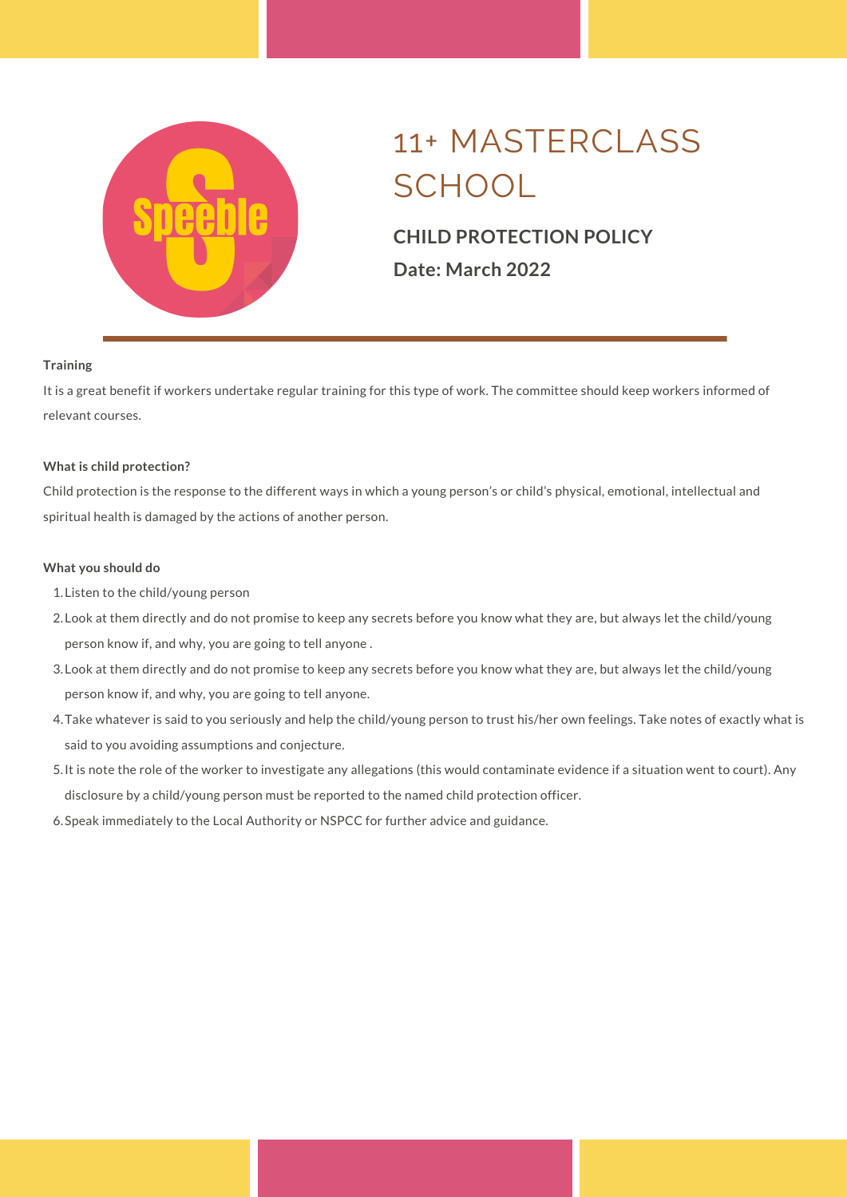

### **CHILD PROTECTION POLICY Date: March 2022**

#### **Training**

It is a great benefit if workers undertake regular training for this type of work. The committee should keep workers informed of relevant courses.

#### **What is child protection?**

Child protection is the response to the different ways in which a young person's or child's physical, emotional, intellectual and spiritual health is damaged by the actions of another person.

#### **What you should do**

- Listen to the child/young person 1.
- Look at them directly and do not promise to keep any secrets before you know what they are, but always let the child/young 2. person know if, and why, you are going to tell anyone .
- Look at them directly and do not promise to keep any secrets before you know what they are, but always let the child/young 3. person know if, and why, you are going to tell anyone.
- Take whatever is said to you seriously and help the child/young person to trust his/her own feelings. Take notes of exactly what is 4. said to you avoiding assumptions and conjecture.
- It is note the role of the worker to investigate any allegations (this would contaminate evidence if a situation went to court). Any 5. disclosure by a child/young person must be reported to the named child protection officer.
- 6. Speak immediately to the Local Authority or NSPCC for further advice and guidance.